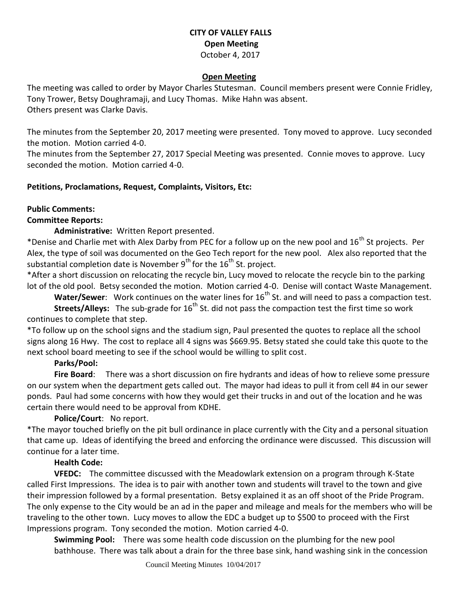# **CITY OF VALLEY FALLS Open Meeting** October 4, 2017

### **Open Meeting**

The meeting was called to order by Mayor Charles Stutesman. Council members present were Connie Fridley, Tony Trower, Betsy Doughramaji, and Lucy Thomas. Mike Hahn was absent. Others present was Clarke Davis.

The minutes from the September 20, 2017 meeting were presented. Tony moved to approve. Lucy seconded the motion. Motion carried 4-0.

The minutes from the September 27, 2017 Special Meeting was presented. Connie moves to approve. Lucy seconded the motion. Motion carried 4-0.

### **Petitions, Proclamations, Request, Complaints, Visitors, Etc:**

#### **Public Comments:**

### **Committee Reports:**

**Administrative:** Written Report presented.

\*Denise and Charlie met with Alex Darby from PEC for a follow up on the new pool and 16<sup>th</sup> St projects. Per Alex, the type of soil was documented on the Geo Tech report for the new pool. Alex also reported that the substantial completion date is November  $9^{th}$  for the  $16^{th}$  St. project.

\*After a short discussion on relocating the recycle bin, Lucy moved to relocate the recycle bin to the parking lot of the old pool. Betsy seconded the motion. Motion carried 4-0. Denise will contact Waste Management.

**Water/Sewer:** Work continues on the water lines for 16<sup>th</sup> St. and will need to pass a compaction test.

**Streets/Alleys:** The sub-grade for 16<sup>th</sup> St. did not pass the compaction test the first time so work continues to complete that step.

\*To follow up on the school signs and the stadium sign, Paul presented the quotes to replace all the school signs along 16 Hwy. The cost to replace all 4 signs was \$669.95. Betsy stated she could take this quote to the next school board meeting to see if the school would be willing to split cost.

## **Parks/Pool:**

**Fire Board**: There was a short discussion on fire hydrants and ideas of how to relieve some pressure on our system when the department gets called out. The mayor had ideas to pull it from cell #4 in our sewer ponds. Paul had some concerns with how they would get their trucks in and out of the location and he was certain there would need to be approval from KDHE.

### **Police/Court**: No report.

\*The mayor touched briefly on the pit bull ordinance in place currently with the City and a personal situation that came up. Ideas of identifying the breed and enforcing the ordinance were discussed. This discussion will continue for a later time.

### **Health Code:**

**VFEDC:** The committee discussed with the Meadowlark extension on a program through K-State called First Impressions. The idea is to pair with another town and students will travel to the town and give their impression followed by a formal presentation. Betsy explained it as an off shoot of the Pride Program. The only expense to the City would be an ad in the paper and mileage and meals for the members who will be traveling to the other town. Lucy moves to allow the EDC a budget up to \$500 to proceed with the First Impressions program. Tony seconded the motion. Motion carried 4-0.

**Swimming Pool:** There was some health code discussion on the plumbing for the new pool bathhouse. There was talk about a drain for the three base sink, hand washing sink in the concession